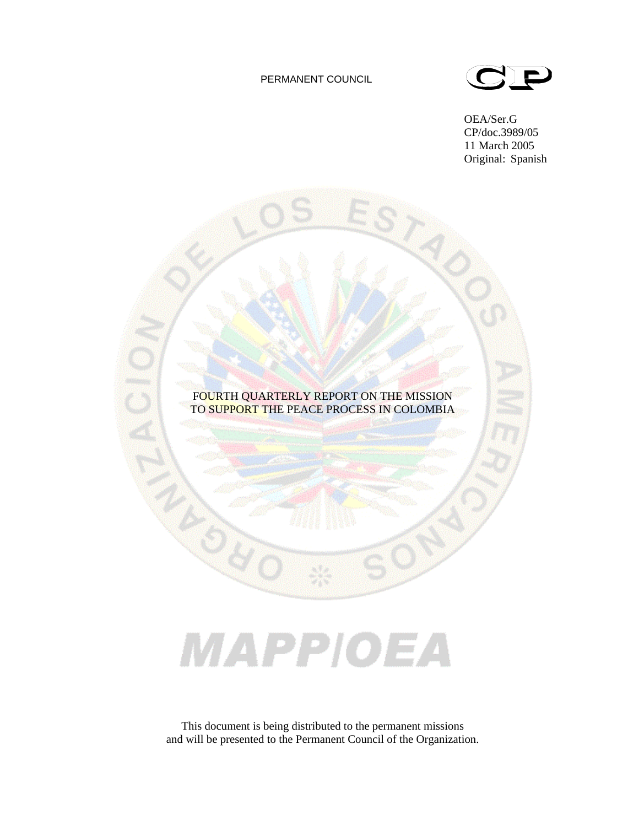#### PERMANENT COUNCIL



OEA/Ser.G CP/doc.3989/05 11 March 2005 Original: Spanish

## FOURTH QUARTERLY REPORT ON THE MISSION TO SUPPORT THE PEACE PROCESS IN COLOMBIA

## MAPPIOEA

This document is being distributed to the permanent missions and will be presented to the Permanent Council of the Organization.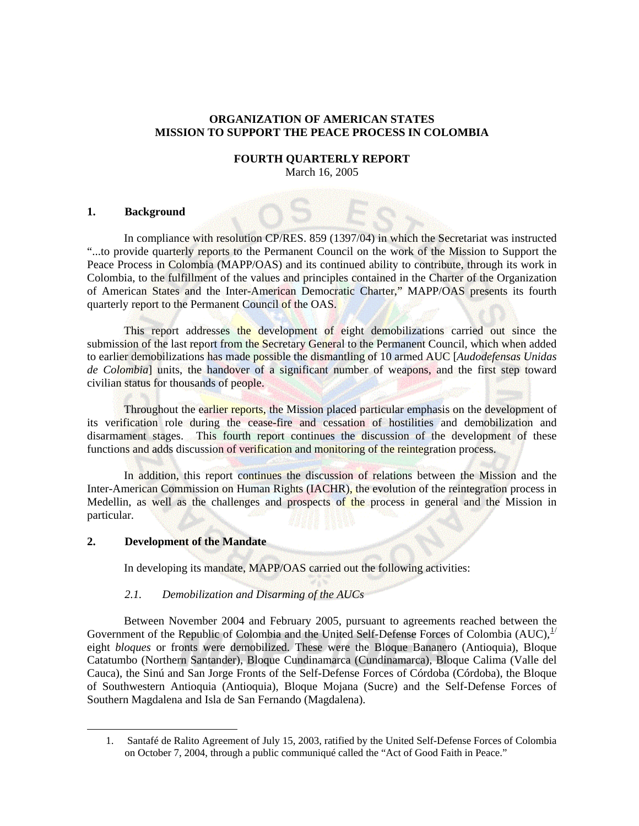#### **ORGANIZATION OF AMERICAN STATES MISSION TO SUPPORT THE PEACE PROCESS IN COLOMBIA**

#### **FOURTH QUARTERLY REPORT**  March 16, 2005

#### **1. Background**

In compliance with resolution CP/RES. 859 (1397/04) in which the Secretariat was instructed "...to provide quarterly reports to the Permanent Council on the work of the Mission to Support the Peace Process in Colombia (MAPP/OAS) and its continued ability to contribute, through its work in Colombia, to the fulfillment of the values and principles contained in the Charter of the Organization of American States and the Inter-American Democratic Charter," MAPP/OAS presents its fourth quarterly report to the Permanent Council of the OAS.

This report addresses the development of eight demobilizations carried out since the submission of the last report from the Secretary General to the Permanent Council, which when added to earlier demobilizations has made possible the dismantling of 10 armed AUC [*Audodefensas Unidas de Colombia*] units, the handover of a significant number of weapons, and the first step toward civilian status for thousands of people.

Throughout the earlier reports, the Mission placed particular emphasis on the development of its verification role during the cease-fire and cessation of hostilities and demobilization and disarmament stages. This fourth report continues the discussion of the development of these functions and adds discussion of verification and monitoring of the reintegration process.

In addition, this report continues the discussion of relations between the Mission and the Inter-American Commission on Human Rights (IACHR), the evolution of the reintegration process in Medellin, as well as the challenges and prospects of the process in general and the Mission in particular.

#### **2. Development of the Mandate**

<span id="page-1-0"></span>-

In developing its mandate, MAPP/OAS carried out the following activities:

#### *2.1. Demobilization and Disarming of the AUCs*

Between November 2004 and February 2005, pursuant to agreements reached between the Government of the Republic of Colombia and the United Self-Defense Forces of Colombia  $(AUC)$ ,  $^{1/2}$  $^{1/2}$  $^{1/2}$ eight *bloques* or fronts were demobilized. These were the Bloque Bananero (Antioquia), Bloque Catatumbo (Northern Santander), Bloque Cundinamarca (Cundinamarca), Bloque Calima (Valle del Cauca), the Sinú and San Jorge Fronts of the Self-Defense Forces of Córdoba (Córdoba), the Bloque of Southwestern Antioquia (Antioquia), Bloque Mojana (Sucre) and the Self-Defense Forces of Southern Magdalena and Isla de San Fernando (Magdalena).

<sup>1.</sup> Santafé de Ralito Agreement of July 15, 2003, ratified by the United Self-Defense Forces of Colombia on October 7, 2004, through a public communiqué called the "Act of Good Faith in Peace."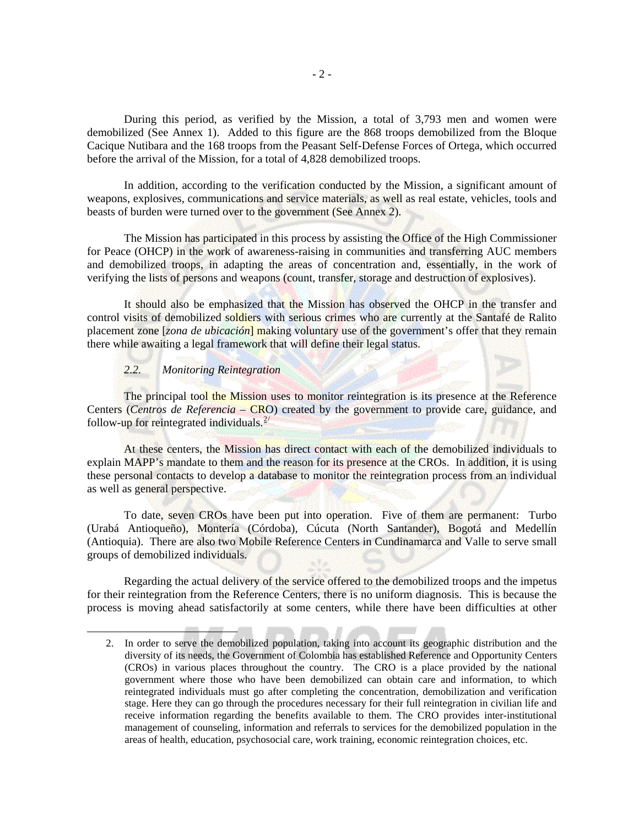During this period, as verified by the Mission, a total of 3,793 men and women were demobilized (See Annex 1). Added to this figure are the 868 troops demobilized from the Bloque Cacique Nutibara and the 168 troops from the Peasant Self-Defense Forces of Ortega, which occurred before the arrival of the Mission, for a total of 4,828 demobilized troops.

In addition, according to the verification conducted by the Mission, a significant amount of weapons, explosives, communications and service materials, as well as real estate, vehicles, tools and beasts of burden were turned over to the government (See Annex 2).

The Mission has participated in this process by assisting the Office of the High Commissioner for Peace (OHCP) in the work of awareness-raising in communities and transferring AUC members and demobilized troops, in adapting the areas of concentration and, essentially, in the work of verifying the lists of persons and weapons (count, transfer, storage and destruction of explosives).

It should also be emphasized that the Mission has observed the OHCP in the transfer and control visits of demobilized soldiers with serious crimes who are currently at the Santafé de Ralito placement zone [*zona de ubicación*] making voluntary use of the government's offer that they remain there while awaiting a legal framework that will define their legal status.

#### *2.2. Monitoring Reintegration*

<span id="page-2-0"></span>1

The principal tool the Mission uses to monitor reintegration is its presence at the Reference Centers (*Centros de Referencia –* CRO) created by the government to provide care, guidance, and follow-up for reintegrated individuals. $2/$  $2/$ 

At these centers, the Mission has direct contact with each of the demobilized individuals to explain MAPP's mandate to them and the reason for its presence at the CROs. In addition, it is using these personal contacts to develop a database to monitor the reintegration process from an individual as well as general perspective.

To date, seven CROs have been put into operation. Five of them are permanent: Turbo (Urabá Antioqueño), Montería (Córdoba), Cúcuta (North Santander), Bogotá and Medellín (Antioquia). There are also two Mobile Reference Centers in Cundinamarca and Valle to serve small groups of demobilized individuals.

Regarding the actual delivery of the service offered to the demobilized troops and the impetus for their reintegration from the Reference Centers, there is no uniform diagnosis. This is because the process is moving ahead satisfactorily at some centers, while there have been difficulties at other

<sup>2.</sup> In order to serve the demobilized population, taking into account its geographic distribution and the diversity of its needs, the Government of Colombia has established Reference and Opportunity Centers (CROs) in various places throughout the country. The CRO is a place provided by the national government where those who have been demobilized can obtain care and information, to which reintegrated individuals must go after completing the concentration, demobilization and verification stage. Here they can go through the procedures necessary for their full reintegration in civilian life and receive information regarding the benefits available to them. The CRO provides inter-institutional management of counseling, information and referrals to services for the demobilized population in the areas of health, education, psychosocial care, work training, economic reintegration choices, etc.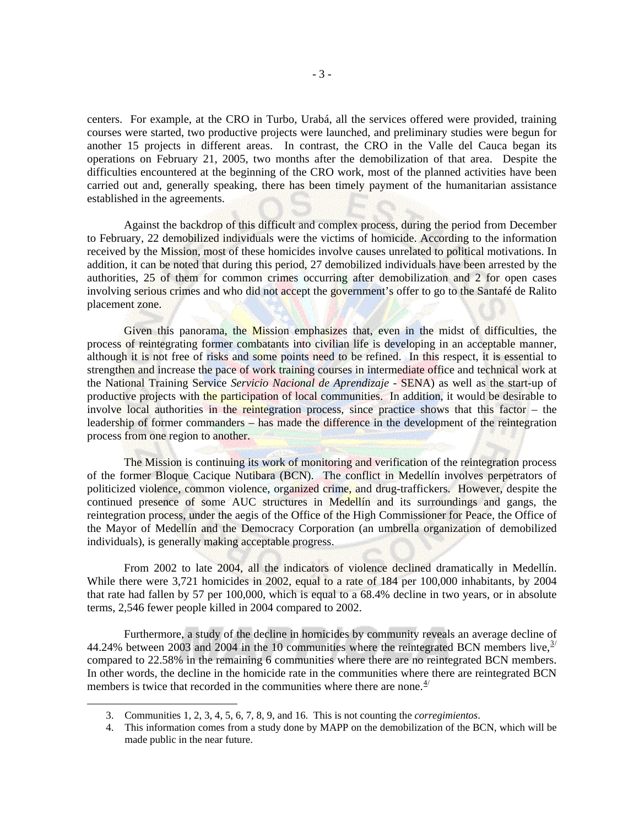centers. For example, at the CRO in Turbo, Urabá, all the services offered were provided, training courses were started, two productive projects were launched, and preliminary studies were begun for another 15 projects in different areas. In contrast, the CRO in the Valle del Cauca began its operations on February 21, 2005, two months after the demobilization of that area. Despite the difficulties encountered at the beginning of the CRO work, most of the planned activities have been carried out and, generally speaking, there has been timely payment of the humanitarian assistance established in the agreements.

Against the backdrop of this difficult and complex process, during the period from December to February, 22 demobilized individuals were the victims of homicide. According to the information received by the Mission, most of these homicides involve causes unrelated to political motivations. In addition, it can be noted that during this period, 27 demobilized individuals have been arrested by the authorities, 25 of them for common crimes occurring after demobilization and 2 for open cases involving serious crimes and who did not accept the government's offer to go to the Santafé de Ralito placement zone.

Given this panorama, the Mission emphasizes that, even in the midst of difficulties, the process of reintegrating former combatants into civilian life is developing in an acceptable manner, although it is not free of risks and some points need to be refined. In this respect, it is essential to strengthen and increase the pace of work training courses in intermediate office and technical work at the National Training Service *Servicio Nacional de Aprendizaje* - SENA) as well as the start-up of productive projects with the participation of local communities. In addition, it would be desirable to involve local authorities in the reintegration process, since practice shows that this factor – the leadership of former commanders – has made the difference in the development of the reintegration process from one region to another.

The Mission is continuing its work of monitoring and verification of the reintegration process of the former Bloque Cacique Nutibara (BCN). The conflict in Medellín involves perpetrators of politicized violence, common violence, organized crime, and drug-traffickers. However, despite the continued presence of some AUC structures in Medellín and its surroundings and gangs, the reintegration process, under the aegis of the Office of the High Commissioner for Peace, the Office of the Mayor of Medellín and the Democracy Corporation (an umbrella organization of demobilized individuals), is generally making acceptable progress.

From 2002 to late 2004, all the indicators of violence declined dramatically in Medellín. While there were 3,721 homicides in 2002, equal to a rate of 184 per 100,000 inhabitants, by 2004 that rate had fallen by 57 per 100,000, which is equal to a 68.4% decline in two years, or in absolute terms, 2,546 fewer people killed in 2004 compared to 2002.

Furthermore, a study of the decline in homicides by community reveals an average decline of 44.24% between 200[3](#page-3-0) and 2004 in the 10 communities where the reintegrated BCN members live,  $3/2$ compared to 22.58% in the remaining 6 communities where there are no reintegrated BCN members. In other words, the decline in the homicide rate in the communities where there are reintegrated BCN members is twice that recorded in the communities where there are none. $4/$  $4/$ 

<span id="page-3-1"></span><span id="page-3-0"></span>1

<sup>3.</sup> Communities 1, 2, 3, 4, 5, 6, 7, 8, 9, and 16. This is not counting the *corregimientos*.

<sup>4.</sup> This information comes from a study done by MAPP on the demobilization of the BCN, which will be made public in the near future.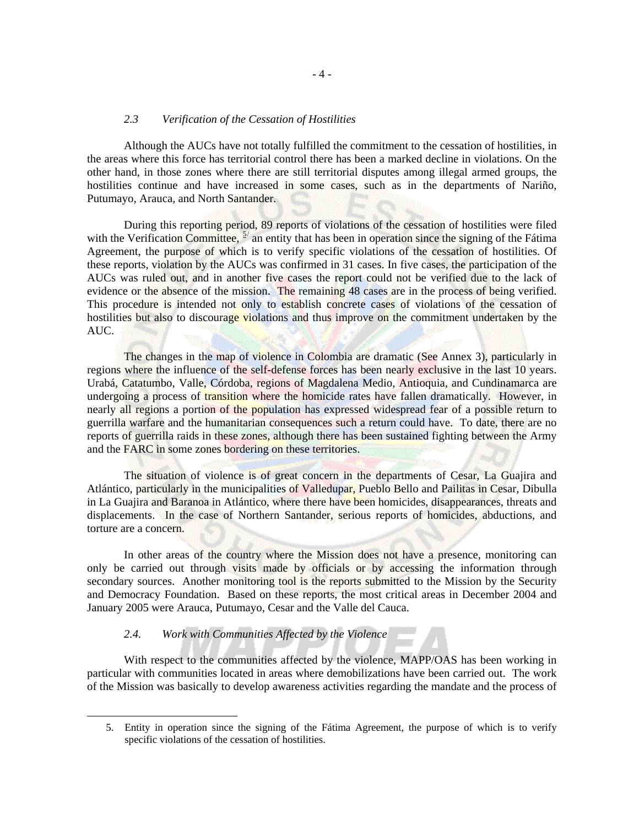#### *2.3 Verification of the Cessation of Hostilities*

Although the AUCs have not totally fulfilled the commitment to the cessation of hostilities, in the areas where this force has territorial control there has been a marked decline in violations. On the other hand, in those zones where there are still territorial disputes among illegal armed groups, the hostilities continue and have increased in some cases, such as in the departments of Nariño, Putumayo, Arauca, and North Santander.

During this reporting period, 89 reports of violations of the cessation of hostilities were filed with the Verification Committee,  $5/$  $5/$  an entity that has been in operation since the signing of the Fátima Agreement, the purpose of which is to verify specific violations of the cessation of hostilities. Of these reports, violation by the AUCs was confirmed in 31 cases. In five cases, the participation of the AUCs was ruled out, and in another five cases the report could not be verified due to the lack of evidence or the absence of the mission. The remaining 48 cases are in the process of being verified. This procedure is intended not only to establish concrete cases of violations of the cessation of hostilities but also to discourage violations and thus improve on the commitment undertaken by the AUC.

The changes in the map of violence in Colombia are dramatic (See Annex 3), particularly in regions where the influence of the self-defense forces has been nearly exclusive in the last 10 years. Urabá, Catatumbo, Valle, Córdoba, regions of Magdalena Medio, Antioquia, and Cundinamarca are undergoing a process of transition where the homicide rates have fallen dramatically. However, in nearly all regions a portion of the population has expressed widespread fear of a possible return to guerrilla warfare and the humanitarian consequences such a return could have. To date, there are no reports of guerrilla raids in these zones, although there has been sustained fighting between the Army and the FARC in some zones bordering on these territories.

The situation of violence is of great concern in the departments of Cesar, La Guajira and Atlántico, particularly in the municipalities of Valledupar, Pueblo Bello and Pailitas in Cesar, Dibulla in La Guajira and Baranoa in Atlántico, where there have been homicides, disappearances, threats and displacements. In the case of Northern Santander, serious reports of homicides, abductions, and torture are a concern.

In other areas of the country where the Mission does not have a presence, monitoring can only be carried out through visits made by officials or by accessing the information through secondary sources. Another monitoring tool is the reports submitted to the Mission by the Security and Democracy Foundation. Based on these reports, the most critical areas in December 2004 and January 2005 were Arauca, Putumayo, Cesar and the Valle del Cauca.

#### *2.4. Work with Communities Affected by the Violence*

<span id="page-4-0"></span>1

With respect to the communities affected by the violence, MAPP/OAS has been working in particular with communities located in areas where demobilizations have been carried out. The work of the Mission was basically to develop awareness activities regarding the mandate and the process of

<sup>5.</sup> Entity in operation since the signing of the Fátima Agreement, the purpose of which is to verify specific violations of the cessation of hostilities.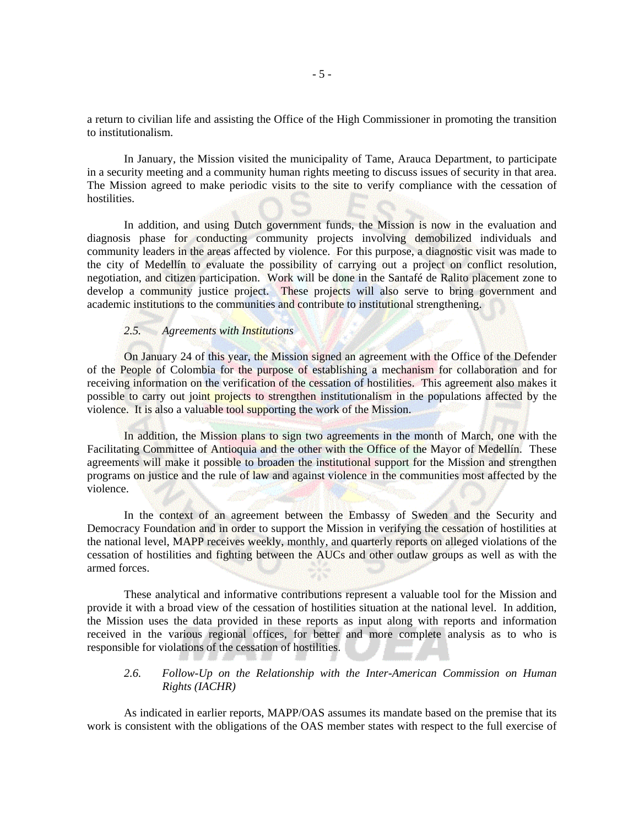a return to civilian life and assisting the Office of the High Commissioner in promoting the transition to institutionalism.

In January, the Mission visited the municipality of Tame, Arauca Department, to participate in a security meeting and a community human rights meeting to discuss issues of security in that area. The Mission agreed to make periodic visits to the site to verify compliance with the cessation of hostilities.

In addition, and using Dutch government funds, the Mission is now in the evaluation and diagnosis phase for conducting community projects involving demobilized individuals and community leaders in the areas affected by violence. For this purpose, a diagnostic visit was made to the city of Medellín to evaluate the possibility of carrying out a project on conflict resolution, negotiation, and citizen participation. Work will be done in the Santafé de Ralito placement zone to develop a community justice project. These projects will also serve to bring government and academic institutions to the communities and contribute to institutional strengthening.

#### *2.5. Agreements with Institutions*

On January 24 of this year, the Mission signed an agreement with the Office of the Defender of the People of Colombia for the purpose of establishing a mechanism for collaboration and for receiving information on the verification of the cessation of hostilities. This agreement also makes it possible to carry out joint projects to strengthen institutionalism in the populations affected by the violence. It is also a valuable tool supporting the work of the Mission.

In addition, the Mission plans to sign two agreements in the month of March, one with the Facilitating Committee of Antioquia and the other with the Office of the Mayor of Medellín. These agreements will make it possible to broaden the institutional support for the Mission and strengthen programs on justice and the rule of law and against violence in the communities most affected by the violence.

In the context of an agreement between the Embassy of Sweden and the Security and Democracy Foundation and in order to support the Mission in verifying the cessation of hostilities at the national level, MAPP receives weekly, monthly, and quarterly reports on alleged violations of the cessation of hostilities and fighting between the AUCs and other outlaw groups as well as with the armed forces.

These analytical and informative contributions represent a valuable tool for the Mission and provide it with a broad view of the cessation of hostilities situation at the national level. In addition, the Mission uses the data provided in these reports as input along with reports and information received in the various regional offices, for better and more complete analysis as to who is responsible for violations of the cessation of hostilities.

#### *2.6. Follow-Up on the Relationship with the Inter-American Commission on Human Rights (IACHR)*

As indicated in earlier reports, MAPP/OAS assumes its mandate based on the premise that its work is consistent with the obligations of the OAS member states with respect to the full exercise of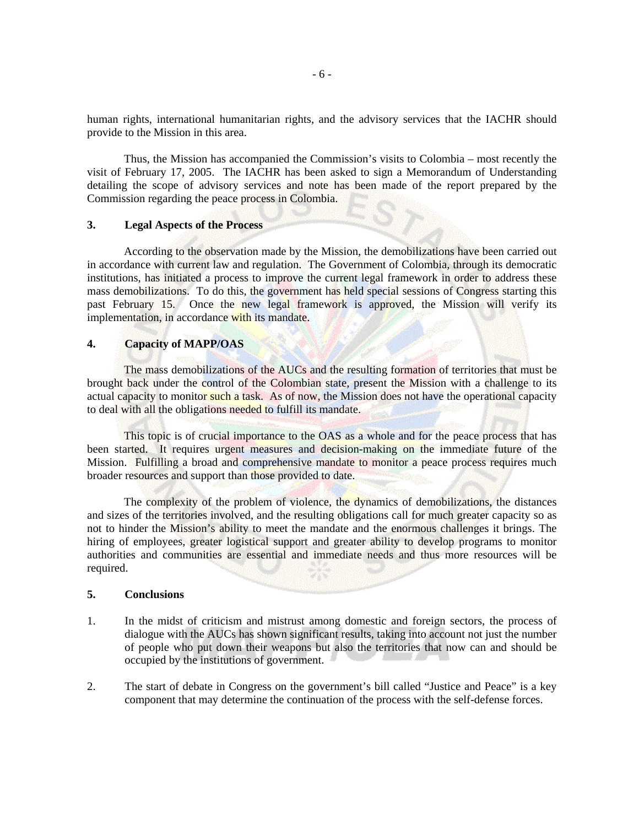human rights, international humanitarian rights, and the advisory services that the IACHR should provide to the Mission in this area.

Thus, the Mission has accompanied the Commission's visits to Colombia – most recently the visit of February 17, 2005. The IACHR has been asked to sign a Memorandum of Understanding detailing the scope of advisory services and note has been made of the report prepared by the Commission regarding the peace process in Colombia.

#### **3. Legal Aspects of the Process**

According to the observation made by the Mission, the demobilizations have been carried out in accordance with current law and regulation. The Government of Colombia, through its democratic institutions, has initiated a process to improve the current legal framework in order to address these mass demobilizations. To do this, the government has held special sessions of Congress starting this past February 15. Once the new legal framework is approved, the Mission will verify its implementation, in accordance with its mandate.

#### **4. Capacity of MAPP/OAS**

The mass demobilizations of the AUCs and the resulting formation of territories that must be brought back under the control of the Colombian state, present the Mission with a challenge to its actual capacity to monitor such a task. As of now, the Mission does not have the operational capacity to deal with all the obligations needed to fulfill its mandate.

This topic is of crucial importance to the OAS as a whole and for the peace process that has been started. It requires urgent measures and decision-making on the immediate future of the Mission. Fulfilling a broad and comprehensive mandate to monitor a peace process requires much broader resources and support than those provided to date.

The complexity of the problem of violence, the dynamics of demobilizations, the distances and sizes of the territories involved, and the resulting obligations call for much greater capacity so as not to hinder the Mission's ability to meet the mandate and the enormous challenges it brings. The hiring of employees, greater logistical support and greater ability to develop programs to monitor authorities and communities are essential and immediate needs and thus more resources will be required.

#### **5. Conclusions**

- 1. In the midst of criticism and mistrust among domestic and foreign sectors, the process of dialogue with the AUCs has shown significant results, taking into account not just the number of people who put down their weapons but also the territories that now can and should be occupied by the institutions of government.
- 2. The start of debate in Congress on the government's bill called "Justice and Peace" is a key component that may determine the continuation of the process with the self-defense forces.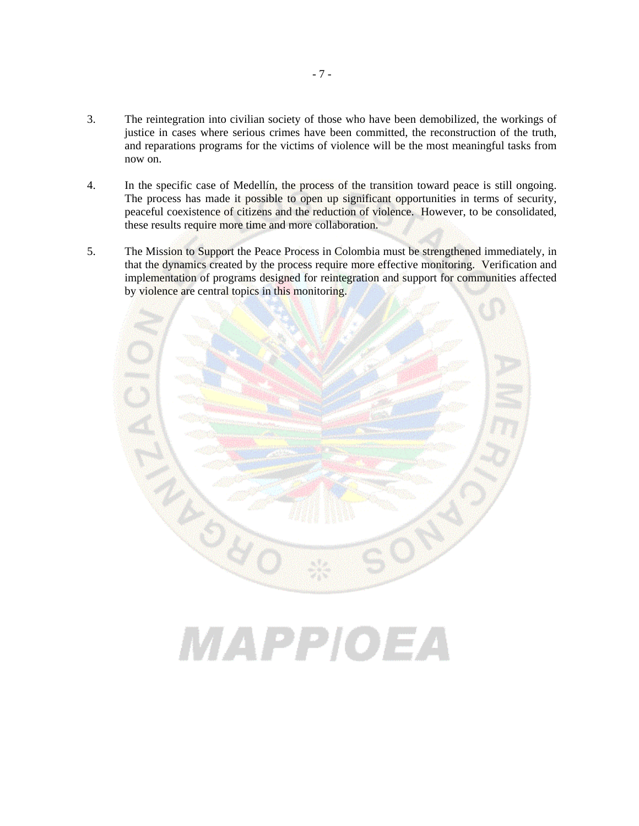- 3. The reintegration into civilian society of those who have been demobilized, the workings of justice in cases where serious crimes have been committed, the reconstruction of the truth, and reparations programs for the victims of violence will be the most meaningful tasks from now on.
- 4. In the specific case of Medellín, the process of the transition toward peace is still ongoing. The process has made it possible to open up significant opportunities in terms of security, peaceful coexistence of citizens and the reduction of violence. However, to be consolidated, these results require more time and more collaboration.
- 5. The Mission to Support the Peace Process in Colombia must be strengthened immediately, in that the dynamics created by the process require more effective monitoring. Verification and implementation of programs designed for reintegration and support for communities affected by violence are central topics in this monitoring.



MAPPIOEA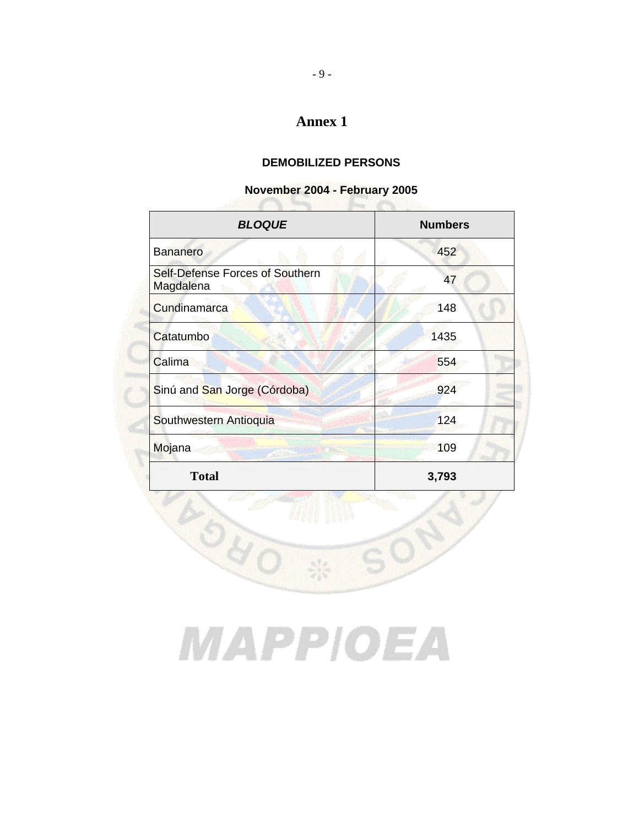## **Annex 1**

## **DEMOBILIZED PERSONS**

## **November 2004 - February 2005**

| <b>BLOQUE</b>                                | <b>Numbers</b> |
|----------------------------------------------|----------------|
| <b>Bananero</b>                              | 452            |
| Self-Defense Forces of Southern<br>Magdalena | 47             |
| Cundinamarca                                 | 148            |
| Catatumbo                                    | 1435           |
| Calima                                       | 554            |
| Sinú and San Jorge (Córdoba)                 | 924            |
| Southwestern Antioquia                       | 124            |
| Mojana                                       | 109            |
| <b>Total</b>                                 | 3,793          |

# MAPPIOEA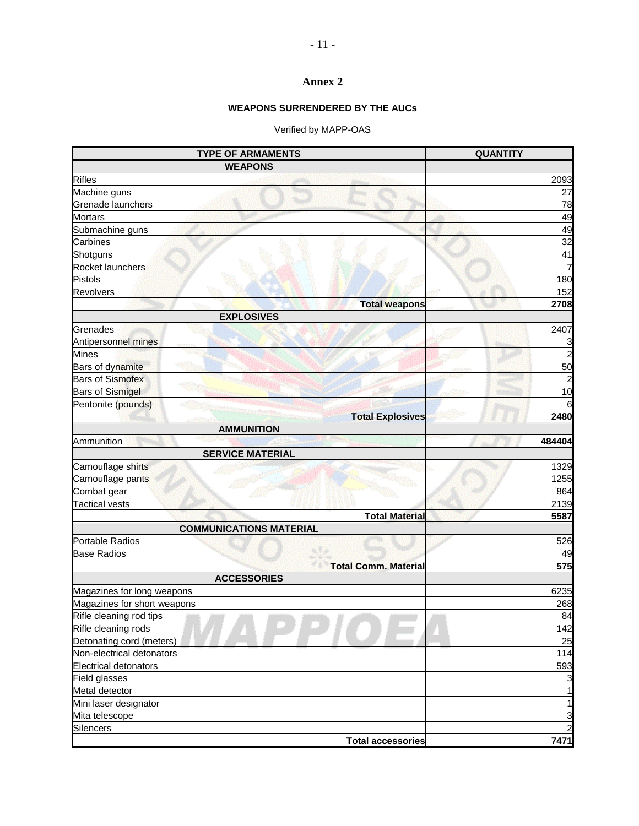### **Annex 2**

## **WEAPONS SURRENDERED BY THE AUCs**

## Verified by MAPP-OAS

| <b>TYPE OF ARMAMENTS</b>       | <b>QUANTITY</b> |
|--------------------------------|-----------------|
| <b>WEAPONS</b>                 |                 |
| <b>Rifles</b>                  | 2093            |
| Machine guns                   | 27              |
| Grenade launchers              | 78              |
| <b>Mortars</b>                 | 49              |
| Submachine guns                | 49              |
| Carbines                       | $\overline{32}$ |
| Shotguns                       | 41              |
| Rocket launchers               | 7               |
| Pistols                        | 180             |
| Revolvers                      | 152<br>ωē       |
| <b>Total weapons</b>           | 2708            |
| <b>EXPLOSIVES</b>              |                 |
| Grenades                       | 2407            |
| Antipersonnel mines            | 3               |
| <b>Mines</b>                   | $\overline{2}$  |
| Bars of dynamite               | 50              |
| <b>Bars of Sismofex</b>        | $\overline{c}$  |
| <b>Bars of Sismigel</b>        | 10              |
| Pentonite (pounds)             | 6               |
| <b>Total Explosives</b>        | 2480            |
| <b>AMMUNITION</b>              |                 |
| Ammunition                     | 484404          |
| <b>SERVICE MATERIAL</b>        |                 |
| Camouflage shirts              | 1329            |
| Camouflage pants               | 1255            |
| Combat gear                    | 864             |
| <b>Tactical vests</b>          | 2139            |
| <b>Total Material</b>          | 5587            |
| <b>COMMUNICATIONS MATERIAL</b> |                 |
| <b>Portable Radios</b>         | 526             |
| <b>Base Radios</b>             | 49              |
| <b>Total Comm. Material</b>    | 575             |
| <b>ACCESSORIES</b>             |                 |
| Magazines for long weapons     | 6235            |
| Magazines for short weapons    | 268             |
| Rifle cleaning rod tips        | 84              |
| Rifle cleaning rods            | 142             |
| Detonating cord (meters)       | 25              |
| Non-electrical detonators      | 114             |
| <b>Electrical detonators</b>   | 593             |
| Field glasses                  | 3               |
| Metal detector                 |                 |
| Mini laser designator          | 1               |
| Mita telescope                 | 3               |
| Silencers                      | $\overline{c}$  |
| <b>Total accessories</b>       | 7471            |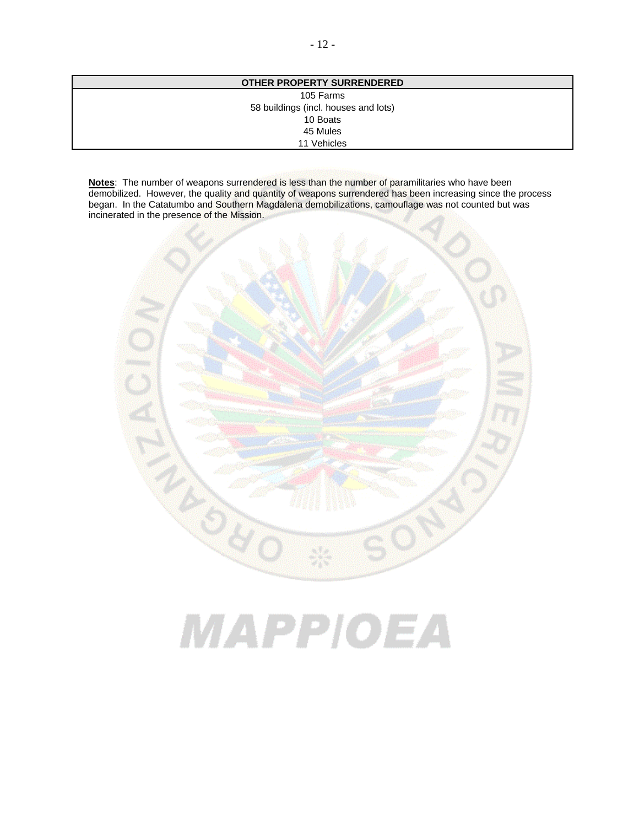| × |  |
|---|--|
|---|--|

| <b>OTHER PROPERTY SURRENDERED</b>    |  |
|--------------------------------------|--|
| 105 Farms                            |  |
| 58 buildings (incl. houses and lots) |  |
| 10 Boats                             |  |
| 45 Mules                             |  |
| 11 Vehicles                          |  |
|                                      |  |

**Notes**: The number of weapons surrendered is less than the number of paramilitaries who have been demobilized. However, the quality and quantity of weapons surrendered has been increasing since the process began. In the Catatumbo and Southern Magdalena demobilizations, camouflage was not counted but was incinerated in the presence of the Mission.



# MAPPIOEA